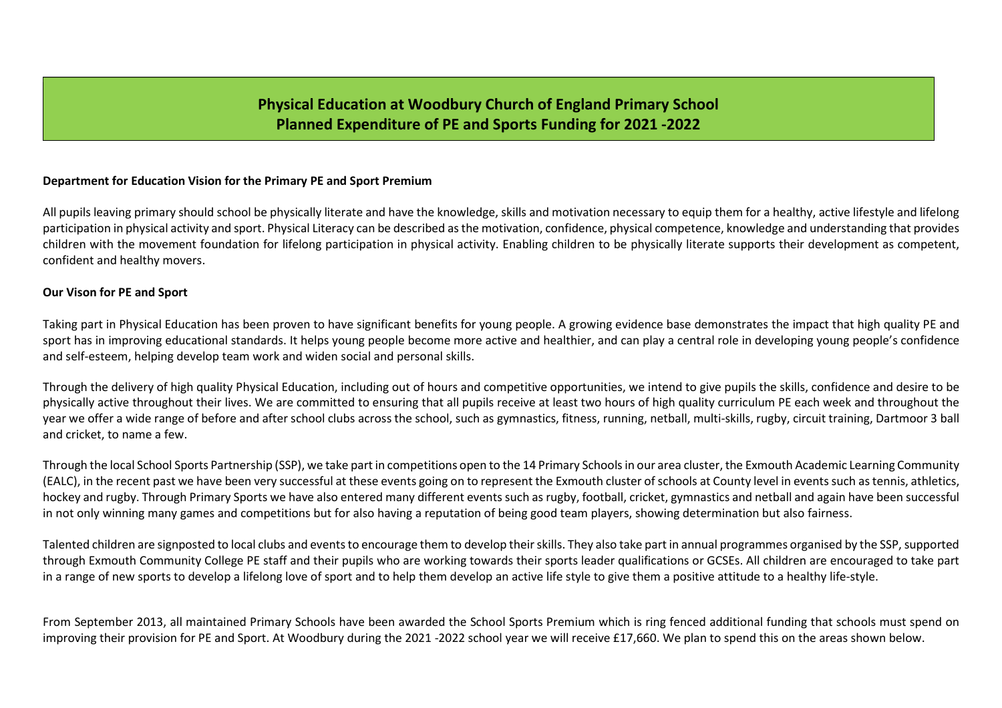# Physical Education at Woodbury Church of England Primary School Planned Expenditure of PE and Sports Funding for 2021 -2022

### Department for Education Vision for the Primary PE and Sport Premium

All pupils leaving primary should school be physically literate and have the knowledge, skills and motivation necessary to equip them for a healthy, active lifestyle and lifelong participation in physical activity and sport. Physical Literacy can be described as the motivation, confidence, physical competence, knowledge and understanding that provides children with the movement foundation for lifelong participation in physical activity. Enabling children to be physically literate supports their development as competent, confident and healthy movers.

#### Our Vison for PE and Sport

Taking part in Physical Education has been proven to have significant benefits for young people. A growing evidence base demonstrates the impact that high quality PE and sport has in improving educational standards. It helps young people become more active and healthier, and can play a central role in developing young people's confidence and self-esteem, helping develop team work and widen social and personal skills.

Through the delivery of high quality Physical Education, including out of hours and competitive opportunities, we intend to give pupils the skills, confidence and desire to be physically active throughout their lives. We are committed to ensuring that all pupils receive at least two hours of high quality curriculum PE each week and throughout the year we offer a wide range of before and after school clubs across the school, such as gymnastics, fitness, running, netball, multi-skills, rugby, circuit training, Dartmoor 3 ball and cricket, to name a few.

Through the local School Sports Partnership (SSP), we take part in competitions open to the 14 Primary Schools in our area cluster, the Exmouth Academic Learning Community (EALC), in the recent past we have been very successful at these events going on to represent the Exmouth cluster of schools at County level in events such as tennis, athletics, hockey and rugby. Through Primary Sports we have also entered many different events such as rugby, football, cricket, gymnastics and netball and again have been successful in not only winning many games and competitions but for also having a reputation of being good team players, showing determination but also fairness.

Talented children are signposted to local clubs and events to encourage them to develop their skills. They also take part in annual programmes organised by the SSP, supported through Exmouth Community College PE staff and their pupils who are working towards their sports leader qualifications or GCSEs. All children are encouraged to take part in a range of new sports to develop a lifelong love of sport and to help them develop an active life style to give them a positive attitude to a healthy life-style.

From September 2013, all maintained Primary Schools have been awarded the School Sports Premium which is ring fenced additional funding that schools must spend on improving their provision for PE and Sport. At Woodbury during the 2021 -2022 school year we will receive £17,660. We plan to spend this on the areas shown below.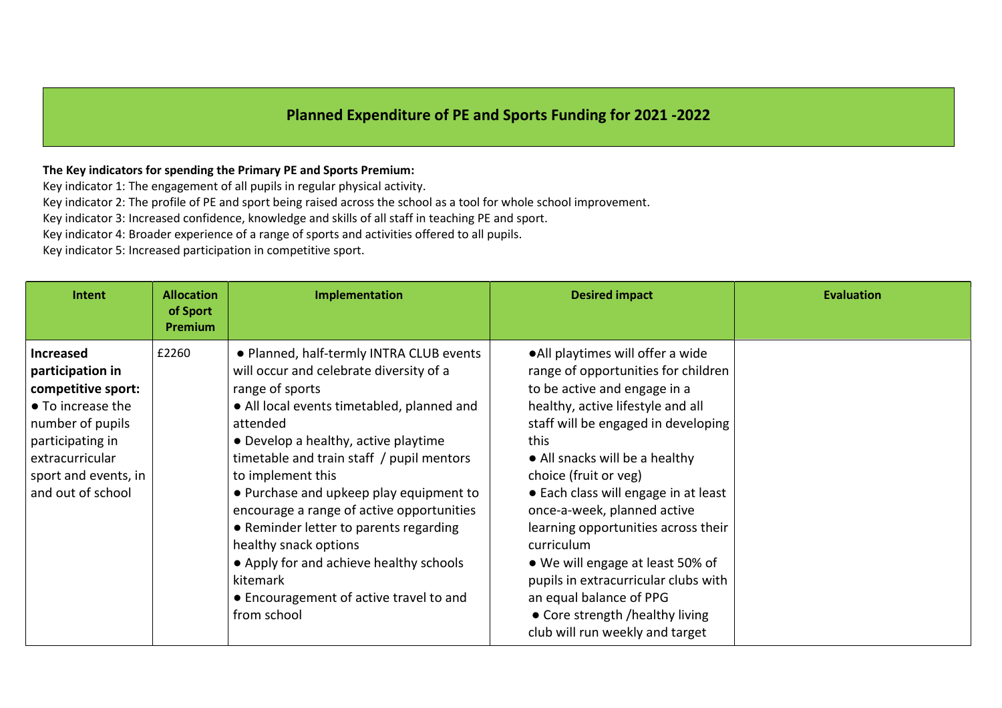# Planned Expenditure of PE and Sports Funding for 2021 -2022

### The Key indicators for spending the Primary PE and Sports Premium:

Key indicator 1: The engagement of all pupils in regular physical activity.

Key indicator 2: The profile of PE and sport being raised across the school as a tool for whole school improvement.

Key indicator 3: Increased confidence, knowledge and skills of all staff in teaching PE and sport.

Key indicator 4: Broader experience of a range of sports and activities offered to all pupils.

Key indicator 5: Increased participation in competitive sport.

| Intent                                                                                                                                                                                  | <b>Allocation</b><br>of Sport<br>Premium | Implementation                                                                                                                                                                                                                                                                                                                                                                                                                                                                                                                                         | <b>Desired impact</b>                                                                                                                                                                                                                                                                                                                                                                                                                                                                                                                                            | <b>Evaluation</b> |
|-----------------------------------------------------------------------------------------------------------------------------------------------------------------------------------------|------------------------------------------|--------------------------------------------------------------------------------------------------------------------------------------------------------------------------------------------------------------------------------------------------------------------------------------------------------------------------------------------------------------------------------------------------------------------------------------------------------------------------------------------------------------------------------------------------------|------------------------------------------------------------------------------------------------------------------------------------------------------------------------------------------------------------------------------------------------------------------------------------------------------------------------------------------------------------------------------------------------------------------------------------------------------------------------------------------------------------------------------------------------------------------|-------------------|
| <b>Increased</b><br>participation in<br>competitive sport:<br>• To increase the<br>number of pupils<br>participating in<br>extracurricular<br>sport and events, in<br>and out of school | £2260                                    | • Planned, half-termly INTRA CLUB events<br>will occur and celebrate diversity of a<br>range of sports<br>• All local events timetabled, planned and<br>attended<br>• Develop a healthy, active playtime<br>timetable and train staff / pupil mentors<br>to implement this<br>• Purchase and upkeep play equipment to<br>encourage a range of active opportunities<br>• Reminder letter to parents regarding<br>healthy snack options<br>• Apply for and achieve healthy schools<br>kitemark<br>• Encouragement of active travel to and<br>from school | • All playtimes will offer a wide<br>range of opportunities for children<br>to be active and engage in a<br>healthy, active lifestyle and all<br>staff will be engaged in developing<br>this<br>• All snacks will be a healthy<br>choice (fruit or veg)<br>• Each class will engage in at least<br>once-a-week, planned active<br>learning opportunities across their<br>curriculum<br>• We will engage at least 50% of<br>pupils in extracurricular clubs with<br>an equal balance of PPG<br>• Core strength /healthy living<br>club will run weekly and target |                   |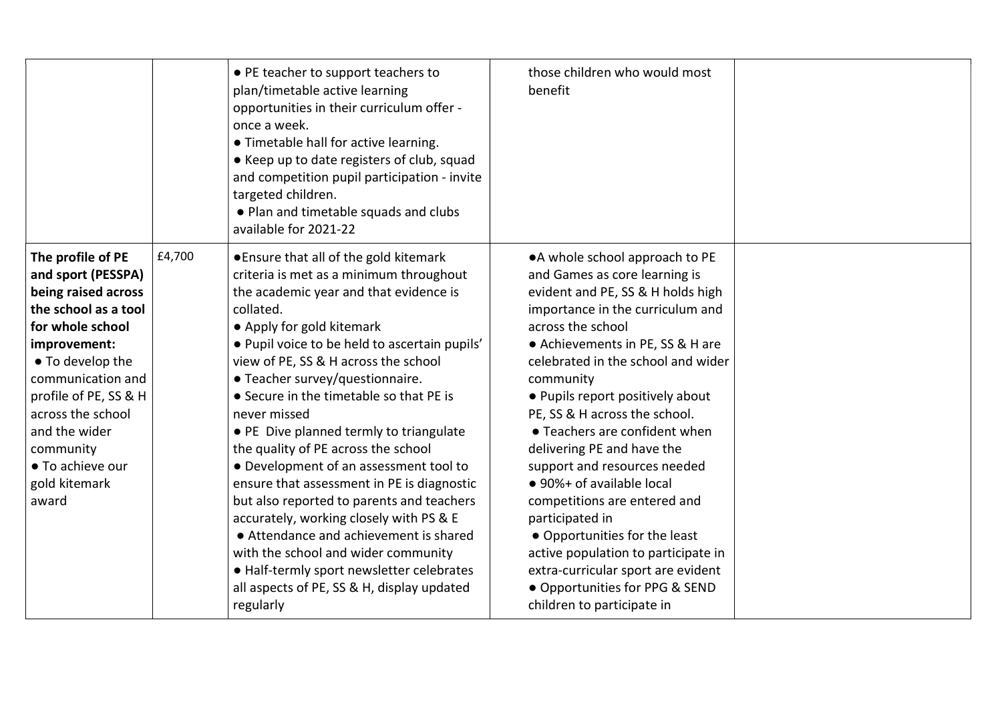|                                                                                                                                                                                                                                                                                               |        | • PE teacher to support teachers to<br>plan/timetable active learning<br>opportunities in their curriculum offer -<br>once a week.<br>• Timetable hall for active learning.<br>• Keep up to date registers of club, squad<br>and competition pupil participation - invite<br>targeted children.<br>• Plan and timetable squads and clubs<br>available for 2021-22                                                                                                                                                                                                                                                                                                                                                                                                                                                       | those children who would most<br>benefit                                                                                                                                                                                                                                                                                                                                                                                                                                                                                                                                                                                                                                                |  |
|-----------------------------------------------------------------------------------------------------------------------------------------------------------------------------------------------------------------------------------------------------------------------------------------------|--------|-------------------------------------------------------------------------------------------------------------------------------------------------------------------------------------------------------------------------------------------------------------------------------------------------------------------------------------------------------------------------------------------------------------------------------------------------------------------------------------------------------------------------------------------------------------------------------------------------------------------------------------------------------------------------------------------------------------------------------------------------------------------------------------------------------------------------|-----------------------------------------------------------------------------------------------------------------------------------------------------------------------------------------------------------------------------------------------------------------------------------------------------------------------------------------------------------------------------------------------------------------------------------------------------------------------------------------------------------------------------------------------------------------------------------------------------------------------------------------------------------------------------------------|--|
| The profile of PE<br>and sport (PESSPA)<br>being raised across<br>the school as a tool<br>for whole school<br>improvement:<br>• To develop the<br>communication and<br>profile of PE, SS & H<br>across the school<br>and the wider<br>community<br>• To achieve our<br>gold kitemark<br>award | £4,700 | ● Ensure that all of the gold kitemark<br>criteria is met as a minimum throughout<br>the academic year and that evidence is<br>collated.<br>• Apply for gold kitemark<br>· Pupil voice to be held to ascertain pupils'<br>view of PE, SS & H across the school<br>• Teacher survey/questionnaire.<br>• Secure in the timetable so that PE is<br>never missed<br>• PE Dive planned termly to triangulate<br>the quality of PE across the school<br>• Development of an assessment tool to<br>ensure that assessment in PE is diagnostic<br>but also reported to parents and teachers<br>accurately, working closely with PS & E<br>• Attendance and achievement is shared<br>with the school and wider community<br>• Half-termly sport newsletter celebrates<br>all aspects of PE, SS & H, display updated<br>regularly | • A whole school approach to PE<br>and Games as core learning is<br>evident and PE, SS & H holds high<br>importance in the curriculum and<br>across the school<br>• Achievements in PE, SS & H are<br>celebrated in the school and wider<br>community<br>• Pupils report positively about<br>PE, SS & H across the school.<br>• Teachers are confident when<br>delivering PE and have the<br>support and resources needed<br>• 90%+ of available local<br>competitions are entered and<br>participated in<br>• Opportunities for the least<br>active population to participate in<br>extra-curricular sport are evident<br>• Opportunities for PPG & SEND<br>children to participate in |  |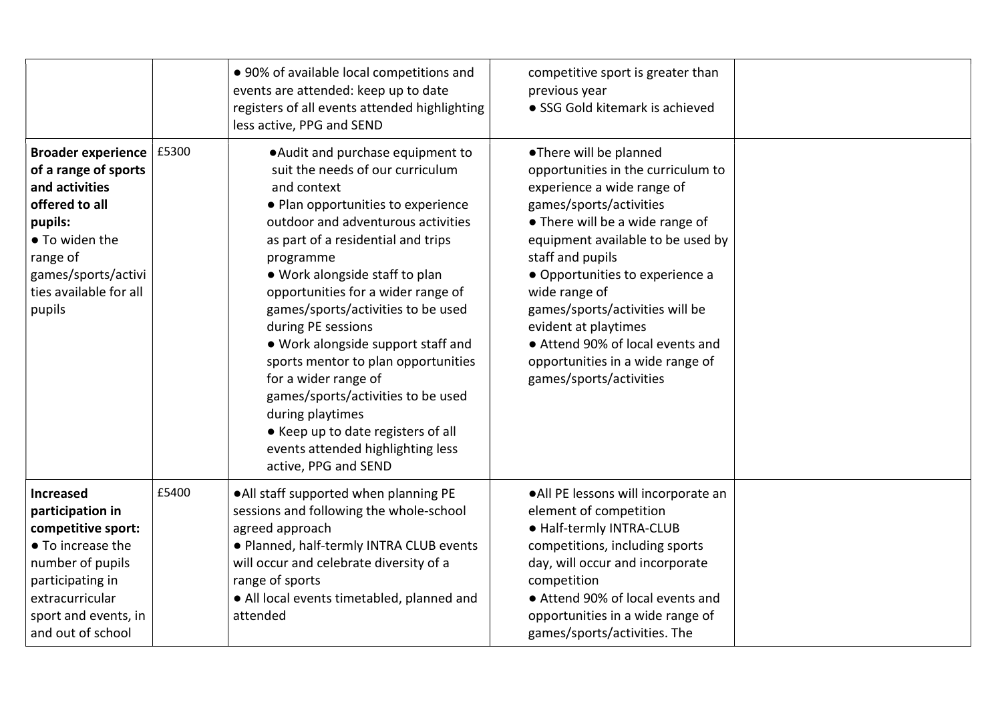|                                                                                                                                                                                           |       | • 90% of available local competitions and<br>events are attended: keep up to date<br>registers of all events attended highlighting<br>less active, PPG and SEND                                                                                                                                                                                                                                                                                                                                                                                                                                                           | competitive sport is greater than<br>previous year<br>• SSG Gold kitemark is achieved                                                                                                                                                                                                                                                                                                                                               |  |
|-------------------------------------------------------------------------------------------------------------------------------------------------------------------------------------------|-------|---------------------------------------------------------------------------------------------------------------------------------------------------------------------------------------------------------------------------------------------------------------------------------------------------------------------------------------------------------------------------------------------------------------------------------------------------------------------------------------------------------------------------------------------------------------------------------------------------------------------------|-------------------------------------------------------------------------------------------------------------------------------------------------------------------------------------------------------------------------------------------------------------------------------------------------------------------------------------------------------------------------------------------------------------------------------------|--|
| <b>Broader experience</b><br>of a range of sports<br>and activities<br>offered to all<br>pupils:<br>• To widen the<br>range of<br>games/sports/activi<br>ties available for all<br>pupils | £5300 | . Audit and purchase equipment to<br>suit the needs of our curriculum<br>and context<br>• Plan opportunities to experience<br>outdoor and adventurous activities<br>as part of a residential and trips<br>programme<br>• Work alongside staff to plan<br>opportunities for a wider range of<br>games/sports/activities to be used<br>during PE sessions<br>• Work alongside support staff and<br>sports mentor to plan opportunities<br>for a wider range of<br>games/sports/activities to be used<br>during playtimes<br>• Keep up to date registers of all<br>events attended highlighting less<br>active, PPG and SEND | •There will be planned<br>opportunities in the curriculum to<br>experience a wide range of<br>games/sports/activities<br>• There will be a wide range of<br>equipment available to be used by<br>staff and pupils<br>• Opportunities to experience a<br>wide range of<br>games/sports/activities will be<br>evident at playtimes<br>• Attend 90% of local events and<br>opportunities in a wide range of<br>games/sports/activities |  |
| Increased<br>participation in<br>competitive sport:<br>• To increase the<br>number of pupils<br>participating in<br>extracurricular<br>sport and events, in<br>and out of school          | £5400 | . All staff supported when planning PE<br>sessions and following the whole-school<br>agreed approach<br>· Planned, half-termly INTRA CLUB events<br>will occur and celebrate diversity of a<br>range of sports<br>• All local events timetabled, planned and<br>attended                                                                                                                                                                                                                                                                                                                                                  | . All PE lessons will incorporate an<br>element of competition<br>· Half-termly INTRA-CLUB<br>competitions, including sports<br>day, will occur and incorporate<br>competition<br>• Attend 90% of local events and<br>opportunities in a wide range of<br>games/sports/activities. The                                                                                                                                              |  |